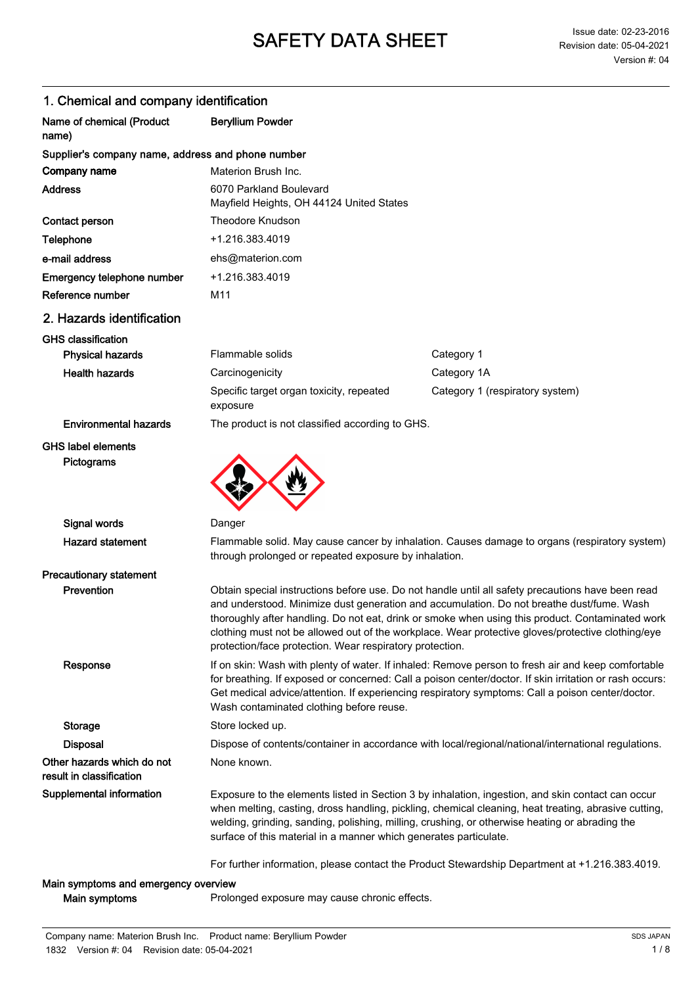| i. Oriennoar and company identification                |                                                                                                                                                                                                                                                                                                                                                                                                                                                                     |                                                                                                                                                                                                                                                                                                             |  |
|--------------------------------------------------------|---------------------------------------------------------------------------------------------------------------------------------------------------------------------------------------------------------------------------------------------------------------------------------------------------------------------------------------------------------------------------------------------------------------------------------------------------------------------|-------------------------------------------------------------------------------------------------------------------------------------------------------------------------------------------------------------------------------------------------------------------------------------------------------------|--|
| Name of chemical (Product<br>name)                     | <b>Beryllium Powder</b>                                                                                                                                                                                                                                                                                                                                                                                                                                             |                                                                                                                                                                                                                                                                                                             |  |
| Supplier's company name, address and phone number      |                                                                                                                                                                                                                                                                                                                                                                                                                                                                     |                                                                                                                                                                                                                                                                                                             |  |
| Company name                                           | Materion Brush Inc.                                                                                                                                                                                                                                                                                                                                                                                                                                                 |                                                                                                                                                                                                                                                                                                             |  |
| <b>Address</b>                                         | 6070 Parkland Boulevard<br>Mayfield Heights, OH 44124 United States                                                                                                                                                                                                                                                                                                                                                                                                 |                                                                                                                                                                                                                                                                                                             |  |
| Contact person                                         | <b>Theodore Knudson</b>                                                                                                                                                                                                                                                                                                                                                                                                                                             |                                                                                                                                                                                                                                                                                                             |  |
| Telephone                                              | +1.216.383.4019                                                                                                                                                                                                                                                                                                                                                                                                                                                     |                                                                                                                                                                                                                                                                                                             |  |
| e-mail address                                         | ehs@materion.com                                                                                                                                                                                                                                                                                                                                                                                                                                                    |                                                                                                                                                                                                                                                                                                             |  |
| Emergency telephone number                             | +1.216.383.4019                                                                                                                                                                                                                                                                                                                                                                                                                                                     |                                                                                                                                                                                                                                                                                                             |  |
| Reference number                                       | M11                                                                                                                                                                                                                                                                                                                                                                                                                                                                 |                                                                                                                                                                                                                                                                                                             |  |
| 2. Hazards identification                              |                                                                                                                                                                                                                                                                                                                                                                                                                                                                     |                                                                                                                                                                                                                                                                                                             |  |
| <b>GHS classification</b>                              |                                                                                                                                                                                                                                                                                                                                                                                                                                                                     |                                                                                                                                                                                                                                                                                                             |  |
| <b>Physical hazards</b>                                | Flammable solids                                                                                                                                                                                                                                                                                                                                                                                                                                                    | Category 1                                                                                                                                                                                                                                                                                                  |  |
| <b>Health hazards</b>                                  | Carcinogenicity                                                                                                                                                                                                                                                                                                                                                                                                                                                     | Category 1A                                                                                                                                                                                                                                                                                                 |  |
|                                                        | Specific target organ toxicity, repeated<br>exposure                                                                                                                                                                                                                                                                                                                                                                                                                | Category 1 (respiratory system)                                                                                                                                                                                                                                                                             |  |
| <b>Environmental hazards</b>                           | The product is not classified according to GHS.                                                                                                                                                                                                                                                                                                                                                                                                                     |                                                                                                                                                                                                                                                                                                             |  |
| Pictograms                                             |                                                                                                                                                                                                                                                                                                                                                                                                                                                                     |                                                                                                                                                                                                                                                                                                             |  |
| Signal words                                           | Danger                                                                                                                                                                                                                                                                                                                                                                                                                                                              |                                                                                                                                                                                                                                                                                                             |  |
| <b>Hazard statement</b>                                | Flammable solid. May cause cancer by inhalation. Causes damage to organs (respiratory system)<br>through prolonged or repeated exposure by inhalation.                                                                                                                                                                                                                                                                                                              |                                                                                                                                                                                                                                                                                                             |  |
| <b>Precautionary statement</b>                         |                                                                                                                                                                                                                                                                                                                                                                                                                                                                     |                                                                                                                                                                                                                                                                                                             |  |
| Prevention                                             | Obtain special instructions before use. Do not handle until all safety precautions have been read<br>and understood. Minimize dust generation and accumulation. Do not breathe dust/fume. Wash<br>thoroughly after handling. Do not eat, drink or smoke when using this product. Contaminated work<br>clothing must not be allowed out of the workplace. Wear protective gloves/protective clothing/eye<br>protection/face protection. Wear respiratory protection. |                                                                                                                                                                                                                                                                                                             |  |
| Response                                               | If on skin: Wash with plenty of water. If inhaled: Remove person to fresh air and keep comfortable<br>for breathing. If exposed or concerned: Call a poison center/doctor. If skin irritation or rash occurs:<br>Get medical advice/attention. If experiencing respiratory symptoms: Call a poison center/doctor.<br>Wash contaminated clothing before reuse.                                                                                                       |                                                                                                                                                                                                                                                                                                             |  |
| <b>Storage</b>                                         | Store locked up.                                                                                                                                                                                                                                                                                                                                                                                                                                                    |                                                                                                                                                                                                                                                                                                             |  |
| <b>Disposal</b>                                        | Dispose of contents/container in accordance with local/regional/national/international regulations.                                                                                                                                                                                                                                                                                                                                                                 |                                                                                                                                                                                                                                                                                                             |  |
| Other hazards which do not<br>result in classification | None known.                                                                                                                                                                                                                                                                                                                                                                                                                                                         |                                                                                                                                                                                                                                                                                                             |  |
| Supplemental information                               | surface of this material in a manner which generates particulate.                                                                                                                                                                                                                                                                                                                                                                                                   | Exposure to the elements listed in Section 3 by inhalation, ingestion, and skin contact can occur<br>when melting, casting, dross handling, pickling, chemical cleaning, heat treating, abrasive cutting,<br>welding, grinding, sanding, polishing, milling, crushing, or otherwise heating or abrading the |  |
|                                                        |                                                                                                                                                                                                                                                                                                                                                                                                                                                                     | For further information, please contact the Product Stewardship Department at +1.216.383.4019.                                                                                                                                                                                                              |  |

### 1. Chemical and company identification

Main symptoms **Prolonged exposure may cause chronic effects.** 

Main symptoms and emergency overview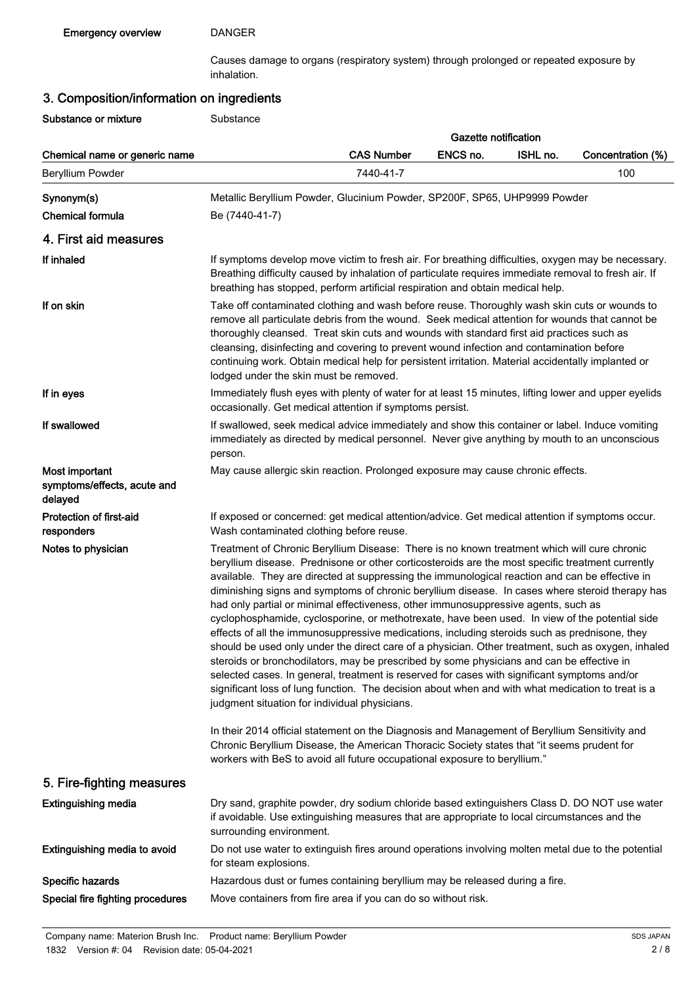Causes damage to organs (respiratory system) through prolonged or repeated exposure by inhalation.

# 3. Composition/information on ingredients

Substance or mixture **Substance** 

|                                                          |                                                                                                                                                                                                                                                                                                                                                                                                                                                                                                                                                                                                                                                                                                                                                                                                                                                                                                                                                                                                                                                                                                                                                        |                   | <b>Gazette notification</b> |          |                   |
|----------------------------------------------------------|--------------------------------------------------------------------------------------------------------------------------------------------------------------------------------------------------------------------------------------------------------------------------------------------------------------------------------------------------------------------------------------------------------------------------------------------------------------------------------------------------------------------------------------------------------------------------------------------------------------------------------------------------------------------------------------------------------------------------------------------------------------------------------------------------------------------------------------------------------------------------------------------------------------------------------------------------------------------------------------------------------------------------------------------------------------------------------------------------------------------------------------------------------|-------------------|-----------------------------|----------|-------------------|
| Chemical name or generic name                            |                                                                                                                                                                                                                                                                                                                                                                                                                                                                                                                                                                                                                                                                                                                                                                                                                                                                                                                                                                                                                                                                                                                                                        | <b>CAS Number</b> | ENCS no.                    | ISHL no. | Concentration (%) |
| Beryllium Powder                                         |                                                                                                                                                                                                                                                                                                                                                                                                                                                                                                                                                                                                                                                                                                                                                                                                                                                                                                                                                                                                                                                                                                                                                        | 7440-41-7         |                             |          | 100               |
| Synonym(s)<br><b>Chemical formula</b>                    | Metallic Beryllium Powder, Glucinium Powder, SP200F, SP65, UHP9999 Powder<br>Be (7440-41-7)                                                                                                                                                                                                                                                                                                                                                                                                                                                                                                                                                                                                                                                                                                                                                                                                                                                                                                                                                                                                                                                            |                   |                             |          |                   |
| 4. First aid measures                                    |                                                                                                                                                                                                                                                                                                                                                                                                                                                                                                                                                                                                                                                                                                                                                                                                                                                                                                                                                                                                                                                                                                                                                        |                   |                             |          |                   |
| If inhaled                                               | If symptoms develop move victim to fresh air. For breathing difficulties, oxygen may be necessary.<br>Breathing difficulty caused by inhalation of particulate requires immediate removal to fresh air. If<br>breathing has stopped, perform artificial respiration and obtain medical help.                                                                                                                                                                                                                                                                                                                                                                                                                                                                                                                                                                                                                                                                                                                                                                                                                                                           |                   |                             |          |                   |
| If on skin                                               | Take off contaminated clothing and wash before reuse. Thoroughly wash skin cuts or wounds to<br>remove all particulate debris from the wound. Seek medical attention for wounds that cannot be<br>thoroughly cleansed. Treat skin cuts and wounds with standard first aid practices such as<br>cleansing, disinfecting and covering to prevent wound infection and contamination before<br>continuing work. Obtain medical help for persistent irritation. Material accidentally implanted or<br>lodged under the skin must be removed.                                                                                                                                                                                                                                                                                                                                                                                                                                                                                                                                                                                                                |                   |                             |          |                   |
| If in eyes                                               | Immediately flush eyes with plenty of water for at least 15 minutes, lifting lower and upper eyelids<br>occasionally. Get medical attention if symptoms persist.                                                                                                                                                                                                                                                                                                                                                                                                                                                                                                                                                                                                                                                                                                                                                                                                                                                                                                                                                                                       |                   |                             |          |                   |
| If swallowed                                             | If swallowed, seek medical advice immediately and show this container or label. Induce vomiting<br>immediately as directed by medical personnel. Never give anything by mouth to an unconscious<br>person.                                                                                                                                                                                                                                                                                                                                                                                                                                                                                                                                                                                                                                                                                                                                                                                                                                                                                                                                             |                   |                             |          |                   |
| Most important<br>symptoms/effects, acute and<br>delayed | May cause allergic skin reaction. Prolonged exposure may cause chronic effects.                                                                                                                                                                                                                                                                                                                                                                                                                                                                                                                                                                                                                                                                                                                                                                                                                                                                                                                                                                                                                                                                        |                   |                             |          |                   |
| Protection of first-aid<br>responders                    | If exposed or concerned: get medical attention/advice. Get medical attention if symptoms occur.<br>Wash contaminated clothing before reuse.                                                                                                                                                                                                                                                                                                                                                                                                                                                                                                                                                                                                                                                                                                                                                                                                                                                                                                                                                                                                            |                   |                             |          |                   |
| Notes to physician                                       | Treatment of Chronic Beryllium Disease: There is no known treatment which will cure chronic<br>beryllium disease. Prednisone or other corticosteroids are the most specific treatment currently<br>available. They are directed at suppressing the immunological reaction and can be effective in<br>diminishing signs and symptoms of chronic beryllium disease. In cases where steroid therapy has<br>had only partial or minimal effectiveness, other immunosuppressive agents, such as<br>cyclophosphamide, cyclosporine, or methotrexate, have been used. In view of the potential side<br>effects of all the immunosuppressive medications, including steroids such as prednisone, they<br>should be used only under the direct care of a physician. Other treatment, such as oxygen, inhaled<br>steroids or bronchodilators, may be prescribed by some physicians and can be effective in<br>selected cases. In general, treatment is reserved for cases with significant symptoms and/or<br>significant loss of lung function. The decision about when and with what medication to treat is a<br>judgment situation for individual physicians. |                   |                             |          |                   |
|                                                          | In their 2014 official statement on the Diagnosis and Management of Beryllium Sensitivity and<br>Chronic Beryllium Disease, the American Thoracic Society states that "it seems prudent for<br>workers with BeS to avoid all future occupational exposure to beryllium."                                                                                                                                                                                                                                                                                                                                                                                                                                                                                                                                                                                                                                                                                                                                                                                                                                                                               |                   |                             |          |                   |
| 5. Fire-fighting measures                                |                                                                                                                                                                                                                                                                                                                                                                                                                                                                                                                                                                                                                                                                                                                                                                                                                                                                                                                                                                                                                                                                                                                                                        |                   |                             |          |                   |
| <b>Extinguishing media</b>                               | Dry sand, graphite powder, dry sodium chloride based extinguishers Class D. DO NOT use water<br>if avoidable. Use extinguishing measures that are appropriate to local circumstances and the<br>surrounding environment.                                                                                                                                                                                                                                                                                                                                                                                                                                                                                                                                                                                                                                                                                                                                                                                                                                                                                                                               |                   |                             |          |                   |
| Extinguishing media to avoid                             | Do not use water to extinguish fires around operations involving molten metal due to the potential<br>for steam explosions.                                                                                                                                                                                                                                                                                                                                                                                                                                                                                                                                                                                                                                                                                                                                                                                                                                                                                                                                                                                                                            |                   |                             |          |                   |
| Specific hazards                                         | Hazardous dust or fumes containing beryllium may be released during a fire.                                                                                                                                                                                                                                                                                                                                                                                                                                                                                                                                                                                                                                                                                                                                                                                                                                                                                                                                                                                                                                                                            |                   |                             |          |                   |
| Special fire fighting procedures                         | Move containers from fire area if you can do so without risk.                                                                                                                                                                                                                                                                                                                                                                                                                                                                                                                                                                                                                                                                                                                                                                                                                                                                                                                                                                                                                                                                                          |                   |                             |          |                   |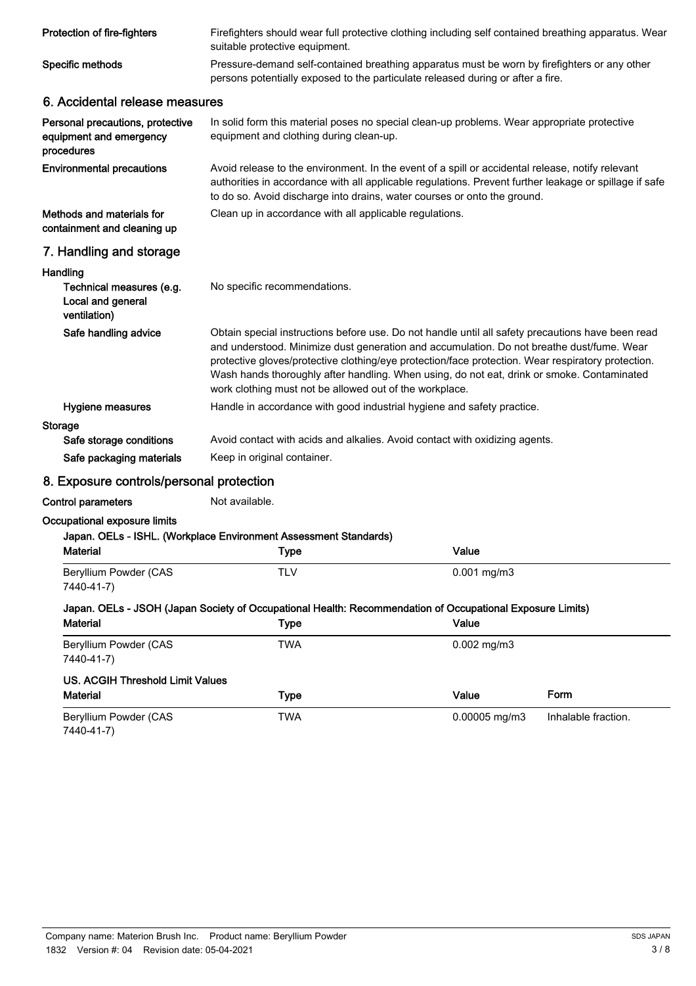| Protection of fire-fighters                                               | Firefighters should wear full protective clothing including self contained breathing apparatus. Wear<br>suitable protective equipment.                                                                                                                                                                                                                                                                                                                        |               |                     |  |
|---------------------------------------------------------------------------|---------------------------------------------------------------------------------------------------------------------------------------------------------------------------------------------------------------------------------------------------------------------------------------------------------------------------------------------------------------------------------------------------------------------------------------------------------------|---------------|---------------------|--|
| Specific methods                                                          | Pressure-demand self-contained breathing apparatus must be worn by firefighters or any other<br>persons potentially exposed to the particulate released during or after a fire.                                                                                                                                                                                                                                                                               |               |                     |  |
| 6. Accidental release measures                                            |                                                                                                                                                                                                                                                                                                                                                                                                                                                               |               |                     |  |
| Personal precautions, protective<br>equipment and emergency<br>procedures | In solid form this material poses no special clean-up problems. Wear appropriate protective<br>equipment and clothing during clean-up.                                                                                                                                                                                                                                                                                                                        |               |                     |  |
| <b>Environmental precautions</b>                                          | Avoid release to the environment. In the event of a spill or accidental release, notify relevant<br>authorities in accordance with all applicable regulations. Prevent further leakage or spillage if safe<br>to do so. Avoid discharge into drains, water courses or onto the ground.                                                                                                                                                                        |               |                     |  |
| Methods and materials for<br>containment and cleaning up                  | Clean up in accordance with all applicable regulations.                                                                                                                                                                                                                                                                                                                                                                                                       |               |                     |  |
| 7. Handling and storage                                                   |                                                                                                                                                                                                                                                                                                                                                                                                                                                               |               |                     |  |
| Handling<br>Technical measures (e.g.<br>Local and general<br>ventilation) | No specific recommendations.                                                                                                                                                                                                                                                                                                                                                                                                                                  |               |                     |  |
| Safe handling advice                                                      | Obtain special instructions before use. Do not handle until all safety precautions have been read<br>and understood. Minimize dust generation and accumulation. Do not breathe dust/fume. Wear<br>protective gloves/protective clothing/eye protection/face protection. Wear respiratory protection.<br>Wash hands thoroughly after handling. When using, do not eat, drink or smoke. Contaminated<br>work clothing must not be allowed out of the workplace. |               |                     |  |
| Hygiene measures                                                          | Handle in accordance with good industrial hygiene and safety practice.                                                                                                                                                                                                                                                                                                                                                                                        |               |                     |  |
| <b>Storage</b><br>Safe storage conditions                                 | Avoid contact with acids and alkalies. Avoid contact with oxidizing agents.                                                                                                                                                                                                                                                                                                                                                                                   |               |                     |  |
| Safe packaging materials                                                  | Keep in original container.                                                                                                                                                                                                                                                                                                                                                                                                                                   |               |                     |  |
| 8. Exposure controls/personal protection                                  |                                                                                                                                                                                                                                                                                                                                                                                                                                                               |               |                     |  |
| <b>Control parameters</b>                                                 | Not available.                                                                                                                                                                                                                                                                                                                                                                                                                                                |               |                     |  |
| Occupational exposure limits                                              |                                                                                                                                                                                                                                                                                                                                                                                                                                                               |               |                     |  |
| <b>Material</b>                                                           | Japan. OELs - ISHL. (Workplace Environment Assessment Standards)                                                                                                                                                                                                                                                                                                                                                                                              | Value         |                     |  |
|                                                                           | Type                                                                                                                                                                                                                                                                                                                                                                                                                                                          |               |                     |  |
| Beryllium Powder (CAS<br>7440-41-7)                                       | <b>TLV</b>                                                                                                                                                                                                                                                                                                                                                                                                                                                    | $0.001$ mg/m3 |                     |  |
|                                                                           | Japan. OELs - JSOH (Japan Society of Occupational Health: Recommendation of Occupational Exposure Limits)                                                                                                                                                                                                                                                                                                                                                     |               |                     |  |
| <b>Material</b>                                                           | <b>Type</b>                                                                                                                                                                                                                                                                                                                                                                                                                                                   | Value         |                     |  |
| Beryllium Powder (CAS<br>7440-41-7)                                       | <b>TWA</b>                                                                                                                                                                                                                                                                                                                                                                                                                                                    | $0.002$ mg/m3 |                     |  |
| <b>US. ACGIH Threshold Limit Values</b>                                   |                                                                                                                                                                                                                                                                                                                                                                                                                                                               |               |                     |  |
| <b>Material</b>                                                           | <b>Type</b>                                                                                                                                                                                                                                                                                                                                                                                                                                                   | Value         | Form                |  |
| Beryllium Powder (CAS<br>7440-41-7)                                       | <b>TWA</b>                                                                                                                                                                                                                                                                                                                                                                                                                                                    | 0.00005 mg/m3 | Inhalable fraction. |  |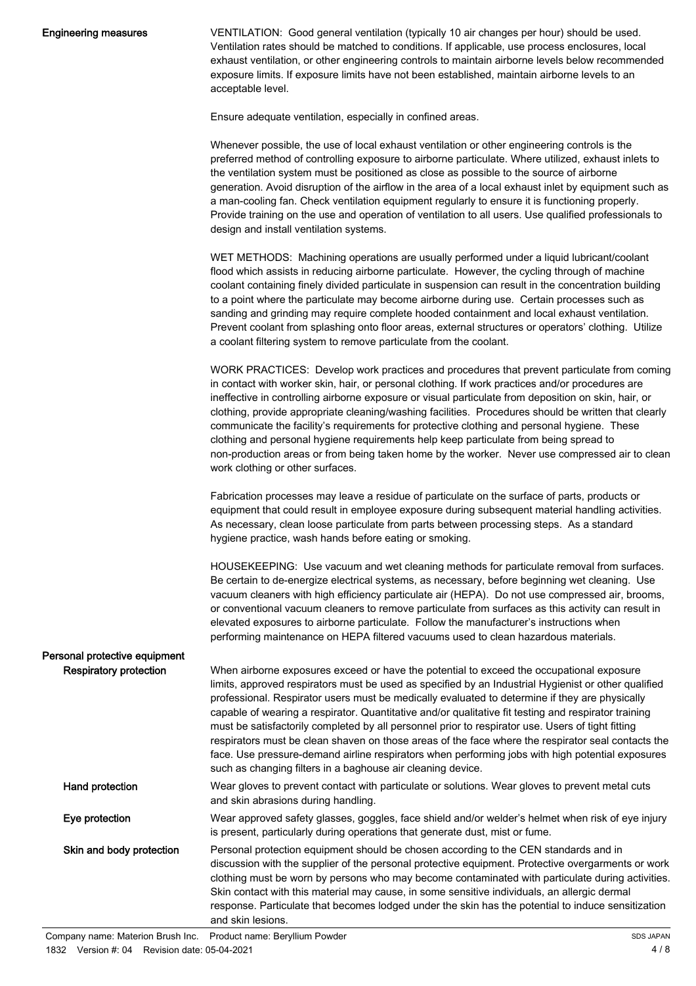#### Engineering measures

VENTILATION: Good general ventilation (typically 10 air changes per hour) should be used. Ventilation rates should be matched to conditions. If applicable, use process enclosures, local exhaust ventilation, or other engineering controls to maintain airborne levels below recommended exposure limits. If exposure limits have not been established, maintain airborne levels to an acceptable level.

Ensure adequate ventilation, especially in confined areas.

Whenever possible, the use of local exhaust ventilation or other engineering controls is the preferred method of controlling exposure to airborne particulate. Where utilized, exhaust inlets to the ventilation system must be positioned as close as possible to the source of airborne generation. Avoid disruption of the airflow in the area of a local exhaust inlet by equipment such as a man-cooling fan. Check ventilation equipment regularly to ensure it is functioning properly. Provide training on the use and operation of ventilation to all users. Use qualified professionals to design and install ventilation systems.

WET METHODS: Machining operations are usually performed under a liquid lubricant/coolant flood which assists in reducing airborne particulate. However, the cycling through of machine coolant containing finely divided particulate in suspension can result in the concentration building to a point where the particulate may become airborne during use. Certain processes such as sanding and grinding may require complete hooded containment and local exhaust ventilation. Prevent coolant from splashing onto floor areas, external structures or operators' clothing. Utilize a coolant filtering system to remove particulate from the coolant.

WORK PRACTICES: Develop work practices and procedures that prevent particulate from coming in contact with worker skin, hair, or personal clothing. If work practices and/or procedures are ineffective in controlling airborne exposure or visual particulate from deposition on skin, hair, or clothing, provide appropriate cleaning/washing facilities. Procedures should be written that clearly communicate the facility's requirements for protective clothing and personal hygiene. These clothing and personal hygiene requirements help keep particulate from being spread to non-production areas or from being taken home by the worker. Never use compressed air to clean work clothing or other surfaces.

Fabrication processes may leave a residue of particulate on the surface of parts, products or equipment that could result in employee exposure during subsequent material handling activities. As necessary, clean loose particulate from parts between processing steps. As a standard hygiene practice, wash hands before eating or smoking.

HOUSEKEEPING: Use vacuum and wet cleaning methods for particulate removal from surfaces. Be certain to de-energize electrical systems, as necessary, before beginning wet cleaning. Use vacuum cleaners with high efficiency particulate air (HEPA). Do not use compressed air, brooms, or conventional vacuum cleaners to remove particulate from surfaces as this activity can result in elevated exposures to airborne particulate. Follow the manufacturer's instructions when performing maintenance on HEPA filtered vacuums used to clean hazardous materials.

| Personal protective equipment |                                                                                                                                                                                                                                                                                                                                                                                                                                                                                                                                                                                                                                                                                                                                                                                          |
|-------------------------------|------------------------------------------------------------------------------------------------------------------------------------------------------------------------------------------------------------------------------------------------------------------------------------------------------------------------------------------------------------------------------------------------------------------------------------------------------------------------------------------------------------------------------------------------------------------------------------------------------------------------------------------------------------------------------------------------------------------------------------------------------------------------------------------|
| Respiratory protection        | When airborne exposures exceed or have the potential to exceed the occupational exposure<br>limits, approved respirators must be used as specified by an Industrial Hygienist or other qualified<br>professional. Respirator users must be medically evaluated to determine if they are physically<br>capable of wearing a respirator. Quantitative and/or qualitative fit testing and respirator training<br>must be satisfactorily completed by all personnel prior to respirator use. Users of tight fitting<br>respirators must be clean shaven on those areas of the face where the respirator seal contacts the<br>face. Use pressure-demand airline respirators when performing jobs with high potential exposures<br>such as changing filters in a baghouse air cleaning device. |
| Hand protection               | Wear gloves to prevent contact with particulate or solutions. Wear gloves to prevent metal cuts<br>and skin abrasions during handling.                                                                                                                                                                                                                                                                                                                                                                                                                                                                                                                                                                                                                                                   |
| Eye protection                | Wear approved safety glasses, goggles, face shield and/or welder's helmet when risk of eye injury<br>is present, particularly during operations that generate dust, mist or fume.                                                                                                                                                                                                                                                                                                                                                                                                                                                                                                                                                                                                        |
| Skin and body protection      | Personal protection equipment should be chosen according to the CEN standards and in<br>discussion with the supplier of the personal protective equipment. Protective overgarments or work<br>clothing must be worn by persons who may become contaminated with particulate during activities.<br>Skin contact with this material may cause, in some sensitive individuals, an allergic dermal<br>response. Particulate that becomes lodged under the skin has the potential to induce sensitization<br>and skin lesions.                                                                                                                                                                                                                                                                |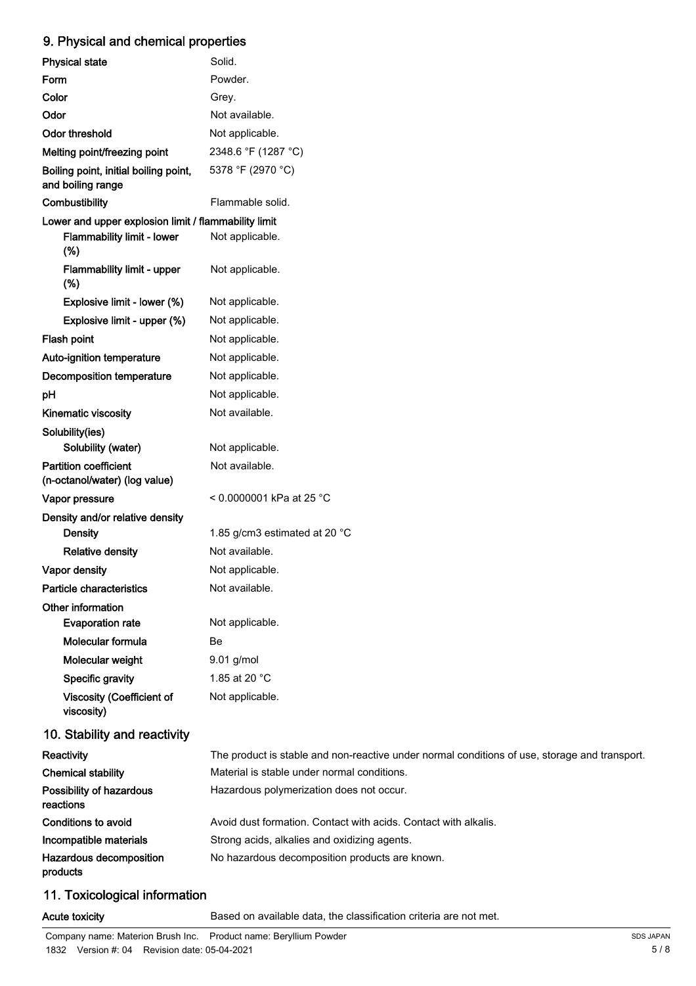## 9. Physical and chemical properties

| <b>Physical state</b>                                         | Solid.                                                                                        |
|---------------------------------------------------------------|-----------------------------------------------------------------------------------------------|
| Form                                                          | Powder.                                                                                       |
| Color                                                         | Grey.                                                                                         |
| Odor                                                          | Not available.                                                                                |
| Odor threshold                                                | Not applicable.                                                                               |
| Melting point/freezing point                                  | 2348.6 °F (1287 °C)                                                                           |
| Boiling point, initial boiling point,<br>and boiling range    | 5378 °F (2970 °C)                                                                             |
| Combustibility                                                | Flammable solid.                                                                              |
| Lower and upper explosion limit / flammability limit          |                                                                                               |
| Flammability limit - lower<br>(%)                             | Not applicable.                                                                               |
| Flammability limit - upper<br>(%)                             | Not applicable.                                                                               |
| Explosive limit - lower (%)                                   | Not applicable.                                                                               |
| Explosive limit - upper (%)                                   | Not applicable.                                                                               |
| Flash point                                                   | Not applicable.                                                                               |
| Auto-ignition temperature                                     | Not applicable.                                                                               |
| Decomposition temperature                                     | Not applicable.                                                                               |
| pH                                                            | Not applicable.                                                                               |
| Kinematic viscosity                                           | Not available.                                                                                |
| Solubility(ies)<br>Solubility (water)                         | Not applicable.                                                                               |
| <b>Partition coefficient</b><br>(n-octanol/water) (log value) | Not available.                                                                                |
| Vapor pressure                                                | < 0.0000001 kPa at 25 °C                                                                      |
| Density and/or relative density                               |                                                                                               |
| <b>Density</b>                                                | 1.85 g/cm3 estimated at 20 $^{\circ}$ C                                                       |
| <b>Relative density</b>                                       | Not available.                                                                                |
| Vapor density                                                 | Not applicable.                                                                               |
| Particle characteristics                                      | Not available.                                                                                |
| Other information                                             |                                                                                               |
| <b>Evaporation rate</b>                                       | Not applicable.                                                                               |
| Molecular formula                                             | Be                                                                                            |
| Molecular weight                                              | 9.01 g/mol                                                                                    |
| Specific gravity                                              | 1.85 at 20 °C                                                                                 |
| <b>Viscosity (Coefficient of</b><br>viscosity)                | Not applicable.                                                                               |
| 10. Stability and reactivity                                  |                                                                                               |
| Reactivity                                                    | The product is stable and non-reactive under normal conditions of use, storage and transport. |
| <b>Chemical stability</b>                                     | Material is stable under normal conditions.                                                   |
| Possibility of hazardous<br>reactions                         | Hazardous polymerization does not occur.                                                      |
| Conditions to avoid                                           | Avoid dust formation. Contact with acids. Contact with alkalis.                               |
| Incompatible materials                                        | Strong acids, alkalies and oxidizing agents.                                                  |
| Hazardous decomposition                                       | No hazardous decomposition products are known.                                                |

# products

# 11. Toxicological information

Acute toxicity **Based on available data, the classification criteria are not met.**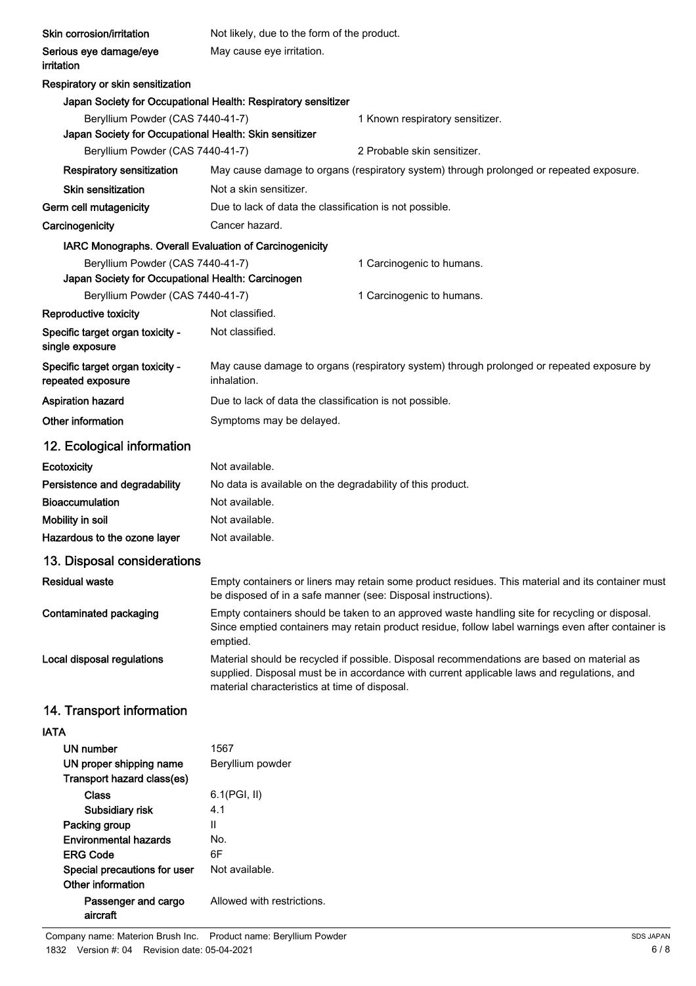| Skin corrosion/irritation                                                             | Not likely, due to the form of the product.                                                                                                                                                                                               |                                                                                                   |  |
|---------------------------------------------------------------------------------------|-------------------------------------------------------------------------------------------------------------------------------------------------------------------------------------------------------------------------------------------|---------------------------------------------------------------------------------------------------|--|
| Serious eye damage/eye<br>irritation                                                  | May cause eye irritation.                                                                                                                                                                                                                 |                                                                                                   |  |
| Respiratory or skin sensitization                                                     |                                                                                                                                                                                                                                           |                                                                                                   |  |
|                                                                                       | Japan Society for Occupational Health: Respiratory sensitizer                                                                                                                                                                             |                                                                                                   |  |
| Beryllium Powder (CAS 7440-41-7)                                                      |                                                                                                                                                                                                                                           | 1 Known respiratory sensitizer.                                                                   |  |
| Japan Society for Occupational Health: Skin sensitizer                                |                                                                                                                                                                                                                                           |                                                                                                   |  |
| Beryllium Powder (CAS 7440-41-7)                                                      |                                                                                                                                                                                                                                           | 2 Probable skin sensitizer.                                                                       |  |
| Respiratory sensitization                                                             |                                                                                                                                                                                                                                           | May cause damage to organs (respiratory system) through prolonged or repeated exposure.           |  |
| <b>Skin sensitization</b>                                                             | Not a skin sensitizer.                                                                                                                                                                                                                    |                                                                                                   |  |
| Germ cell mutagenicity                                                                | Due to lack of data the classification is not possible.                                                                                                                                                                                   |                                                                                                   |  |
| Carcinogenicity                                                                       | Cancer hazard.                                                                                                                                                                                                                            |                                                                                                   |  |
| IARC Monographs. Overall Evaluation of Carcinogenicity                                |                                                                                                                                                                                                                                           |                                                                                                   |  |
| Beryllium Powder (CAS 7440-41-7)<br>Japan Society for Occupational Health: Carcinogen |                                                                                                                                                                                                                                           | 1 Carcinogenic to humans.                                                                         |  |
| Beryllium Powder (CAS 7440-41-7)                                                      |                                                                                                                                                                                                                                           | 1 Carcinogenic to humans.                                                                         |  |
| Reproductive toxicity                                                                 | Not classified.                                                                                                                                                                                                                           |                                                                                                   |  |
| Specific target organ toxicity -<br>single exposure                                   | Not classified.                                                                                                                                                                                                                           |                                                                                                   |  |
| Specific target organ toxicity -<br>repeated exposure                                 | inhalation.                                                                                                                                                                                                                               | May cause damage to organs (respiratory system) through prolonged or repeated exposure by         |  |
| <b>Aspiration hazard</b>                                                              | Due to lack of data the classification is not possible.                                                                                                                                                                                   |                                                                                                   |  |
| Other information                                                                     | Symptoms may be delayed.                                                                                                                                                                                                                  |                                                                                                   |  |
| 12. Ecological information                                                            |                                                                                                                                                                                                                                           |                                                                                                   |  |
| Ecotoxicity                                                                           | Not available.                                                                                                                                                                                                                            |                                                                                                   |  |
| Persistence and degradability                                                         | No data is available on the degradability of this product.                                                                                                                                                                                |                                                                                                   |  |
| <b>Bioaccumulation</b>                                                                | Not available.                                                                                                                                                                                                                            |                                                                                                   |  |
| Mobility in soil                                                                      | Not available.                                                                                                                                                                                                                            |                                                                                                   |  |
| Hazardous to the ozone layer                                                          | Not available.                                                                                                                                                                                                                            |                                                                                                   |  |
| 13. Disposal considerations                                                           |                                                                                                                                                                                                                                           |                                                                                                   |  |
| <b>Residual waste</b>                                                                 | be disposed of in a safe manner (see: Disposal instructions).                                                                                                                                                                             | Empty containers or liners may retain some product residues. This material and its container must |  |
| Contaminated packaging                                                                | Empty containers should be taken to an approved waste handling site for recycling or disposal.<br>Since emptied containers may retain product residue, follow label warnings even after container is<br>emptied.                          |                                                                                                   |  |
| Local disposal regulations                                                            | Material should be recycled if possible. Disposal recommendations are based on material as<br>supplied. Disposal must be in accordance with current applicable laws and regulations, and<br>material characteristics at time of disposal. |                                                                                                   |  |
| 14. Transport information                                                             |                                                                                                                                                                                                                                           |                                                                                                   |  |
| <b>IATA</b>                                                                           |                                                                                                                                                                                                                                           |                                                                                                   |  |
| <b>UN number</b>                                                                      | 1567                                                                                                                                                                                                                                      |                                                                                                   |  |
| UN proper shipping name                                                               | Beryllium powder                                                                                                                                                                                                                          |                                                                                                   |  |
| Transport hazard class(es)<br><b>Class</b>                                            |                                                                                                                                                                                                                                           |                                                                                                   |  |
| Subsidiary risk                                                                       | 6.1(PGI, II)<br>4.1                                                                                                                                                                                                                       |                                                                                                   |  |
| Packing group                                                                         | Ш                                                                                                                                                                                                                                         |                                                                                                   |  |
| <b>Environmental hazards</b>                                                          | No.                                                                                                                                                                                                                                       |                                                                                                   |  |
| <b>ERG Code</b>                                                                       | 6F                                                                                                                                                                                                                                        |                                                                                                   |  |
| Special precautions for user<br>Other information                                     | Not available.                                                                                                                                                                                                                            |                                                                                                   |  |
| Passenger and cargo<br>aircraft                                                       | Allowed with restrictions.                                                                                                                                                                                                                |                                                                                                   |  |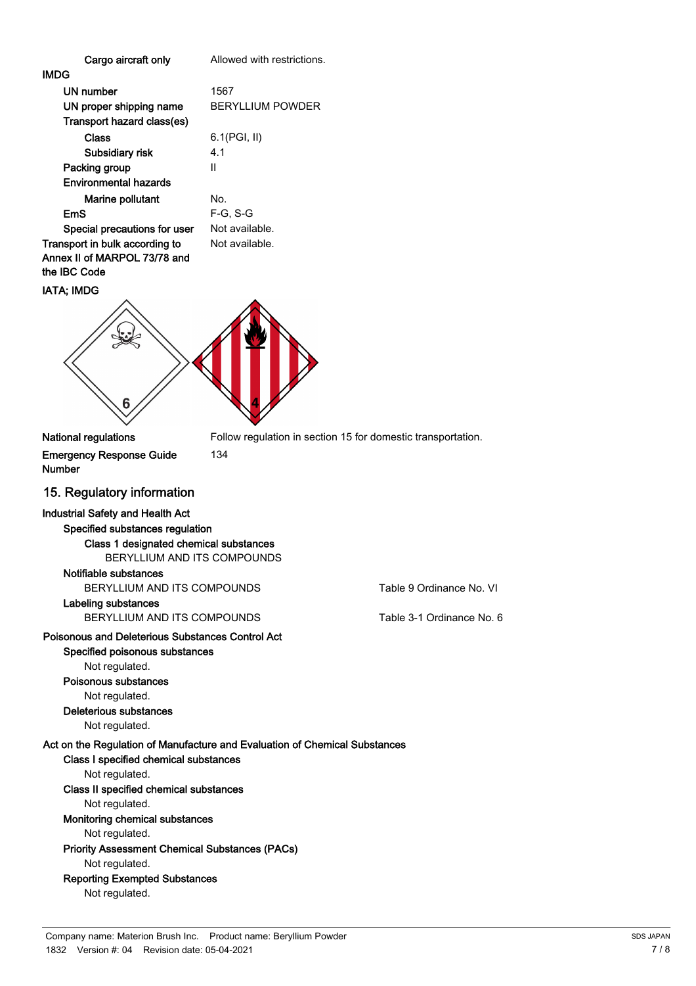| Cargo aircraft only                                                                                                                                                                        | Allowed with restrictions.                                   |                           |
|--------------------------------------------------------------------------------------------------------------------------------------------------------------------------------------------|--------------------------------------------------------------|---------------------------|
| IMDG                                                                                                                                                                                       |                                                              |                           |
| UN number                                                                                                                                                                                  | 1567                                                         |                           |
| UN proper shipping name                                                                                                                                                                    | <b>BERYLLIUM POWDER</b>                                      |                           |
| Transport hazard class(es)                                                                                                                                                                 |                                                              |                           |
| Class                                                                                                                                                                                      | 6.1(PGI, II)                                                 |                           |
| Subsidiary risk                                                                                                                                                                            | 4.1                                                          |                           |
| Packing group                                                                                                                                                                              | Ш                                                            |                           |
| <b>Environmental hazards</b>                                                                                                                                                               |                                                              |                           |
| Marine pollutant                                                                                                                                                                           | No.                                                          |                           |
| <b>EmS</b>                                                                                                                                                                                 | $F-G, S-G$                                                   |                           |
| Special precautions for user                                                                                                                                                               | Not available.                                               |                           |
| Transport in bulk according to<br>Annex II of MARPOL 73/78 and<br>the IBC Code                                                                                                             | Not available.                                               |                           |
| IATA; IMDG                                                                                                                                                                                 |                                                              |                           |
| 6                                                                                                                                                                                          |                                                              |                           |
| National regulations                                                                                                                                                                       | Follow regulation in section 15 for domestic transportation. |                           |
| <b>Emergency Response Guide</b><br>Number                                                                                                                                                  | 134                                                          |                           |
| 15. Regulatory information                                                                                                                                                                 |                                                              |                           |
| <b>Industrial Safety and Health Act</b>                                                                                                                                                    |                                                              |                           |
| Specified substances regulation                                                                                                                                                            |                                                              |                           |
| Class 1 designated chemical substances<br>BERYLLIUM AND ITS COMPOUNDS                                                                                                                      |                                                              |                           |
| Notifiable substances                                                                                                                                                                      |                                                              |                           |
| BERYLLIUM AND ITS COMPOUNDS                                                                                                                                                                |                                                              | Table 9 Ordinance No. VI  |
| Labeling substances                                                                                                                                                                        |                                                              |                           |
| BERYLLIUM AND ITS COMPOUNDS                                                                                                                                                                |                                                              | Table 3-1 Ordinance No. 6 |
| Poisonous and Deleterious Substances Control Act<br>Specified poisonous substances<br>Not regulated.<br>Poisonous substances<br>Not regulated.<br>Deleterious substances<br>Not regulated. |                                                              |                           |
|                                                                                                                                                                                            |                                                              |                           |

Act on the Regulation of Manufacture and Evaluation of Chemical Substances Class I specified chemical substances Not regulated. Class II specified chemical substances Not regulated. Monitoring chemical substances Not regulated. Priority Assessment Chemical Substances (PACs) Not regulated.

## Reporting Exempted Substances